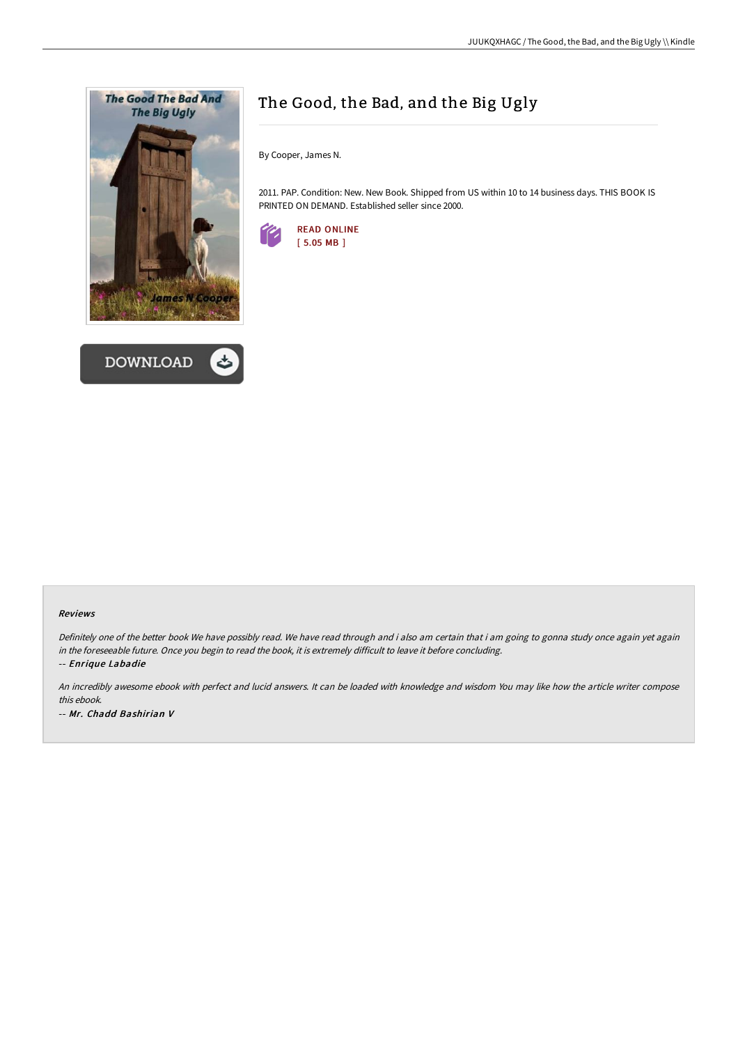



# The Good, the Bad, and the Big Ugly

By Cooper, James N.

2011. PAP. Condition: New. New Book. Shipped from US within 10 to 14 business days. THIS BOOK IS PRINTED ON DEMAND. Established seller since 2000.



#### Reviews

Definitely one of the better book We have possibly read. We have read through and i also am certain that i am going to gonna study once again yet again in the foreseeable future. Once you begin to read the book, it is extremely difficult to leave it before concluding.

-- Enrique Labadie

An incredibly awesome ebook with perfect and lucid answers. It can be loaded with knowledge and wisdom You may like how the article writer compose this ebook. -- Mr. Chadd Bashirian V